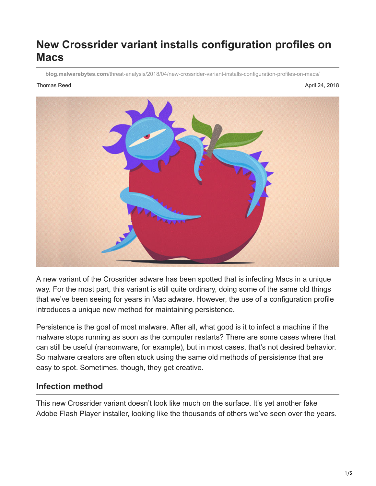# **New Crossrider variant installs configuration profiles on Macs**

**blog.malwarebytes.com**[/threat-analysis/2018/04/new-crossrider-variant-installs-configuration-profiles-on-macs/](https://blog.malwarebytes.com/threat-analysis/2018/04/new-crossrider-variant-installs-configuration-profiles-on-macs/?utm_source=twitter&utm_medium=social)

Thomas Reed April 24, 2018



A new variant of the Crossrider adware has been spotted that is infecting Macs in a unique way. For the most part, this variant is still quite ordinary, doing some of the same old things that we've been seeing for years in Mac adware. However, the use of a configuration profile introduces a unique new method for maintaining persistence.

Persistence is the goal of most malware. After all, what good is it to infect a machine if the malware stops running as soon as the computer restarts? There are some cases where that can still be useful (ransomware, for example), but in most cases, that's not desired behavior. So malware creators are often stuck using the same old methods of persistence that are easy to spot. Sometimes, though, they get creative.

#### **Infection method**

This new Crossrider variant doesn't look like much on the surface. It's yet another fake Adobe Flash Player installer, looking like the thousands of others we've seen over the years.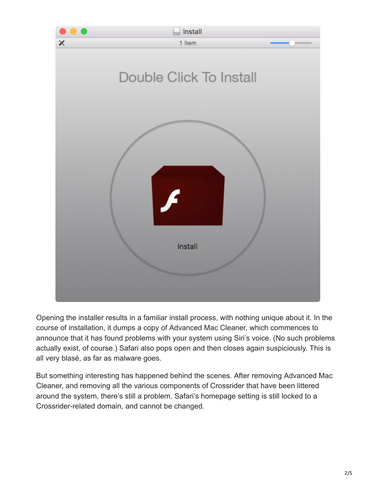

Opening the installer results in a familiar install process, with nothing unique about it. In the course of installation, it dumps a copy of Advanced Mac Cleaner, which commences to announce that it has found problems with your system using Siri's voice. (No such problems actually exist, of course.) Safari also pops open and then closes again suspiciously. This is all very blasé, as far as malware goes.

But something interesting has happened behind the scenes. After removing Advanced Mac Cleaner, and removing all the various components of Crossrider that have been littered around the system, there's still a problem. Safari's homepage setting is still locked to a Crossrider-related domain, and cannot be changed.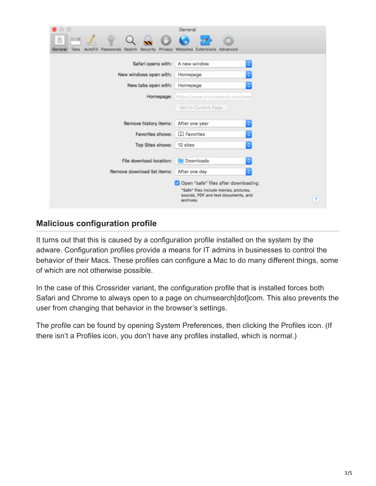| $\circ$ $\circ$                                                                            | General                                                                                                      |
|--------------------------------------------------------------------------------------------|--------------------------------------------------------------------------------------------------------------|
|                                                                                            |                                                                                                              |
| AutoFill Passwords Search Security Privacy Websites Extensions Advanced<br>General<br>Tabs |                                                                                                              |
| Safari opens with:                                                                         | A new window                                                                                                 |
| New windows open with:                                                                     | Homepage                                                                                                     |
| New tabs open with:                                                                        | Homepage                                                                                                     |
| Homepage:                                                                                  | https://www.chumsearch.com/sear                                                                              |
|                                                                                            | Set to Current Page                                                                                          |
|                                                                                            |                                                                                                              |
| Remove history items:                                                                      | After one year                                                                                               |
| Favorites shows:                                                                           | <b>Exported</b>                                                                                              |
| Top Sites shows:                                                                           | 12 sites                                                                                                     |
|                                                                                            |                                                                                                              |
| File download location:                                                                    | Downloads                                                                                                    |
| Remove download list items:                                                                | After one day                                                                                                |
|                                                                                            | Open "safe" files after downloading                                                                          |
|                                                                                            | "Safe" files include movies, pictures,<br>sounds, PDF and text documents, and<br>$\overline{?}$<br>archives. |

### **Malicious configuration profile**

It turns out that this is caused by a configuration profile installed on the system by the adware. Configuration profiles provide a means for IT admins in businesses to control the behavior of their Macs. These profiles can configure a Mac to do many different things, some of which are not otherwise possible.

In the case of this Crossrider variant, the configuration profile that is installed forces both Safari and Chrome to always open to a page on chumsearch[dot]com. This also prevents the user from changing that behavior in the browser's settings.

The profile can be found by opening System Preferences, then clicking the Profiles icon. (If there isn't a Profiles icon, you don't have any profiles installed, which is normal.)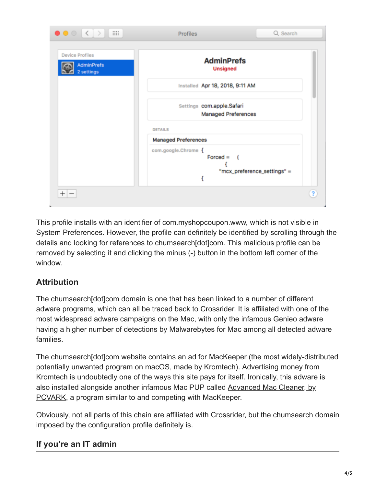| <b>Device Profiles</b><br><b>AdminPrefs</b><br>2 settings | <b>AdminPrefs</b><br><b>Unsigned</b>                               |  |
|-----------------------------------------------------------|--------------------------------------------------------------------|--|
|                                                           | Installed Apr 18, 2018, 9:11 AM                                    |  |
|                                                           | Settings com.apple.Safari<br><b>Managed Preferences</b>            |  |
|                                                           | <b>DETAILS</b>                                                     |  |
|                                                           | <b>Managed Preferences</b>                                         |  |
|                                                           | com.google.Chrome {<br>$Forced =$ (<br>"mcx_preference_settings" = |  |

This profile installs with an identifier of com.myshopcoupon.www, which is not visible in System Preferences. However, the profile can definitely be identified by scrolling through the details and looking for references to chumsearch[dot]com. This malicious profile can be removed by selecting it and clicking the minus (-) button in the bottom left corner of the window.

## **Attribution**

The chumsearch[dot]com domain is one that has been linked to a number of different adware programs, which can all be traced back to Crossrider. It is affiliated with one of the most widespread adware campaigns on the Mac, with only the infamous Genieo adware having a higher number of detections by Malwarebytes for Mac among all detected adware families.

The chumsearch [dot]com website contains an ad for [MacKeeper](https://blog.malwarebytes.com/puppum/2016/08/pup-friday-mackeeper/) (the most widely-distributed potentially unwanted program on macOS, made by Kromtech). Advertising money from Kromtech is undoubtedly one of the ways this site pays for itself. Ironically, this adware is [also installed alongside another infamous Mac PUP called Advanced Mac Cleaner, by](https://blog.malwarebytes.com/threat-analysis/2016/08/pcvark-plays-dirty/) PCVARK, a program similar to and competing with MacKeeper.

Obviously, not all parts of this chain are affiliated with Crossrider, but the chumsearch domain imposed by the configuration profile definitely is.

# **If you're an IT admin**